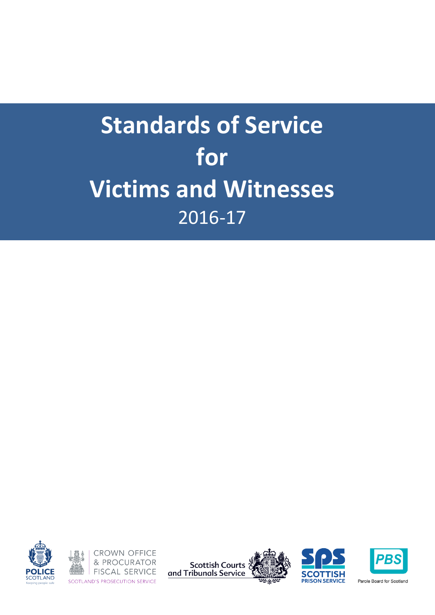





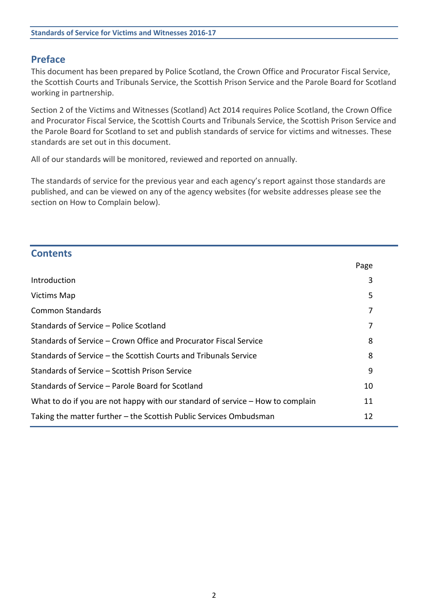# **Preface**

This document has been prepared by Police Scotland, the Crown Office and Procurator Fiscal Service, the Scottish Courts and Tribunals Service, the Scottish Prison Service and the Parole Board for Scotland working in partnership.

Section 2 of the Victims and Witnesses (Scotland) Act 2014 requires Police Scotland, the Crown Office and Procurator Fiscal Service, the Scottish Courts and Tribunals Service, the Scottish Prison Service and the Parole Board for Scotland to set and publish standards of service for victims and witnesses. These standards are set out in this document.

All of our standards will be monitored, reviewed and reported on annually.

The standards of service for the previous year and each agency's report against those standards are published, and can be viewed on any of the agency websites (for website addresses please see the section on How to Complain below).

| <b>Contents</b>                                                                |      |  |
|--------------------------------------------------------------------------------|------|--|
|                                                                                | Page |  |
| Introduction                                                                   | 3    |  |
| <b>Victims Map</b>                                                             | 5    |  |
| <b>Common Standards</b>                                                        | 7    |  |
| Standards of Service – Police Scotland                                         | 7    |  |
| Standards of Service – Crown Office and Procurator Fiscal Service              | 8    |  |
| Standards of Service – the Scottish Courts and Tribunals Service               | 8    |  |
| Standards of Service - Scottish Prison Service                                 | 9    |  |
| Standards of Service – Parole Board for Scotland                               | 10   |  |
| What to do if you are not happy with our standard of service – How to complain | 11   |  |
| Taking the matter further – the Scottish Public Services Ombudsman<br>12       |      |  |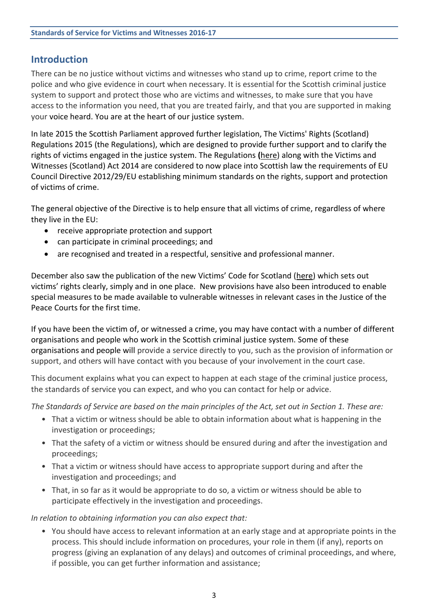# **Introduction**

There can be no justice without victims and witnesses who stand up to crime, report crime to the police and who give evidence in court when necessary. It is essential for the Scottish criminal justice system to support and protect those who are victims and witnesses, to make sure that you have access to the information you need, that you are treated fairly, and that you are supported in making your voice heard. You are at the heart of our justice system.

In late 2015 the Scottish Parliament approved further legislation, The Victims' Rights (Scotland) Regulations 2015 (the Regulations), which are designed to provide further support and to clarify the rights of victims engaged in the justice system. The Regulations **(**[here\)](http://www.legislation.gov.uk/ssi/2015/444/contents/made) along with the Victims and Witnesses (Scotland) Act 2014 are considered to now place into Scottish law the requirements of EU Council Directive 2012/29/EU establishing minimum standards on the rights, support and protection of victims of crime.

The general objective of the Directive is to help ensure that all victims of crime, regardless of where they live in the EU:

- receive appropriate protection and support
- can participate in criminal proceedings; and
- are recognised and treated in a respectful, sensitive and professional manner.

December also saw the publication of the new Victims' Code for Scotland ([here\)](https://www.mygov.scot/victim-witness-rights/) which sets out victims' rights clearly, simply and in one place. New provisions have also been introduced to enable special measures to be made available to vulnerable witnesses in relevant cases in the Justice of the Peace Courts for the first time.

If you have been the victim of, or witnessed a crime, you may have contact with a number of different organisations and people who work in the Scottish criminal justice system. Some of these organisations and people will provide a service directly to you, such as the provision of information or support, and others will have contact with you because of your involvement in the court case.

This document explains what you can expect to happen at each stage of the criminal justice process, the standards of service you can expect, and who you can contact for help or advice.

*The Standards of Service are based on the main principles of the Act, set out in Section 1. These are:*

- That a victim or witness should be able to obtain information about what is happening in the investigation or proceedings;
- That the safety of a victim or witness should be ensured during and after the investigation and proceedings;
- That a victim or witness should have access to appropriate support during and after the investigation and proceedings; and
- That, in so far as it would be appropriate to do so, a victim or witness should be able to participate effectively in the investigation and proceedings.

*In relation to obtaining information you can also expect that:*

• You should have access to relevant information at an early stage and at appropriate points in the process. This should include information on procedures, your role in them (if any), reports on progress (giving an explanation of any delays) and outcomes of criminal proceedings, and where, if possible, you can get further information and assistance;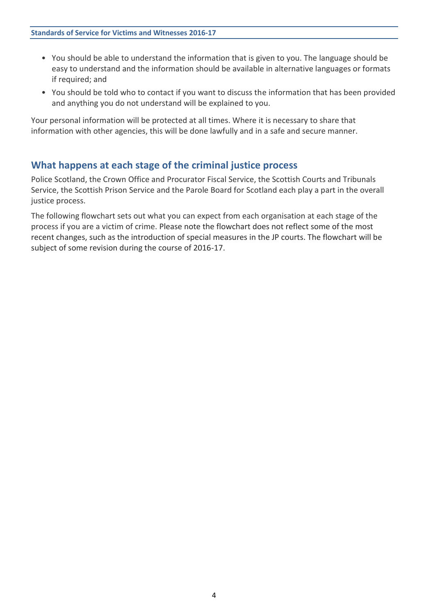- You should be able to understand the information that is given to you. The language should be easy to understand and the information should be available in alternative languages or formats if required; and
- You should be told who to contact if you want to discuss the information that has been provided and anything you do not understand will be explained to you.

Your personal information will be protected at all times. Where it is necessary to share that information with other agencies, this will be done lawfully and in a safe and secure manner.

## **What happens at each stage of the criminal justice process**

Police Scotland, the Crown Office and Procurator Fiscal Service, the Scottish Courts and Tribunals Service, the Scottish Prison Service and the Parole Board for Scotland each play a part in the overall justice process.

The following flowchart sets out what you can expect from each organisation at each stage of the process if you are a victim of crime. Please note the flowchart does not reflect some of the most recent changes, such as the introduction of special measures in the JP courts. The flowchart will be subject of some revision during the course of 2016-17.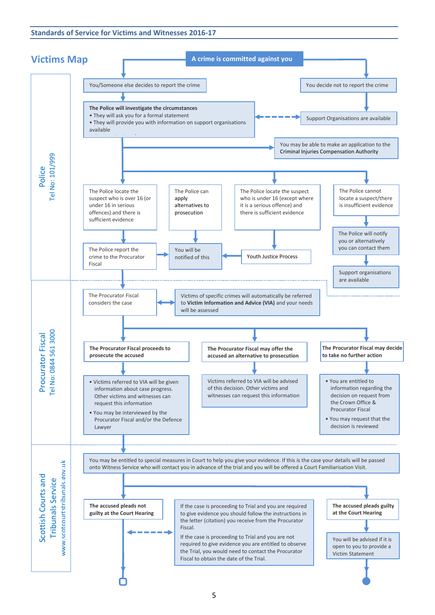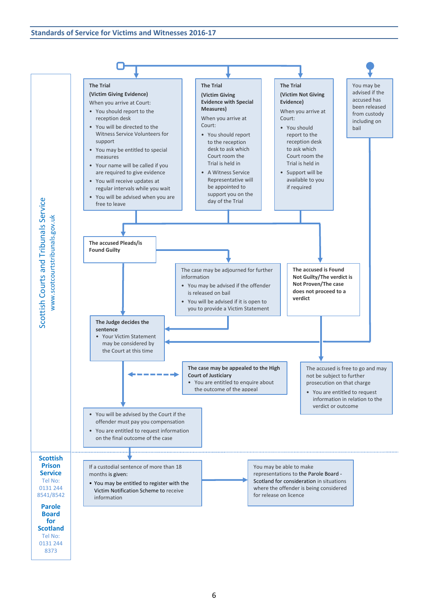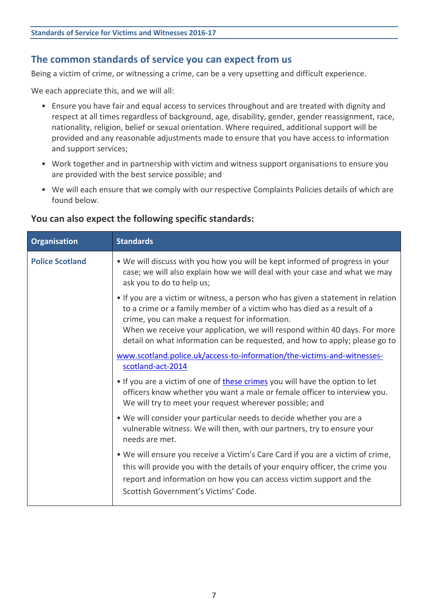## **The common standards of service you can expect from us**

Being a victim of crime, or witnessing a crime, can be a very upsetting and difficult experience.

We each appreciate this, and we will all:

- Ensure you have fair and equal access to services throughout and are treated with dignity and respect at all times regardless of background, age, disability, gender, gender reassignment, race, nationality, religion, belief or sexual orientation. Where required, additional support will be provided and any reasonable adjustments made to ensure that you have access to information and support services;
- Work together and in partnership with victim and witness support organisations to ensure you are provided with the best service possible; and
- We will each ensure that we comply with our respective Complaints Policies details of which are found below.

#### **You can also expect the following specific standards:**

| <b>Organisation</b>    | <b>Standards</b>                                                                                                                                                                                                                                                                                                                                                           |
|------------------------|----------------------------------------------------------------------------------------------------------------------------------------------------------------------------------------------------------------------------------------------------------------------------------------------------------------------------------------------------------------------------|
| <b>Police Scotland</b> | . We will discuss with you how you will be kept informed of progress in your<br>case; we will also explain how we will deal with your case and what we may<br>ask you to do to help us;                                                                                                                                                                                    |
|                        | • If you are a victim or witness, a person who has given a statement in relation<br>to a crime or a family member of a victim who has died as a result of a<br>crime, you can make a request for information.<br>When we receive your application, we will respond within 40 days. For more<br>detail on what information can be requested, and how to apply; please go to |
|                        | www.scotland.police.uk/access-to-information/the-victims-and-witnesses-<br>scotland-act-2014                                                                                                                                                                                                                                                                               |
|                        | • If you are a victim of one of these crimes you will have the option to let<br>officers know whether you want a male or female officer to interview you.<br>We will try to meet your request wherever possible; and                                                                                                                                                       |
|                        | • We will consider your particular needs to decide whether you are a<br>vulnerable witness. We will then, with our partners, try to ensure your<br>needs are met.                                                                                                                                                                                                          |
|                        | . We will ensure you receive a Victim's Care Card if you are a victim of crime,<br>this will provide you with the details of your enquiry officer, the crime you<br>report and information on how you can access victim support and the<br>Scottish Government's Victims' Code.                                                                                            |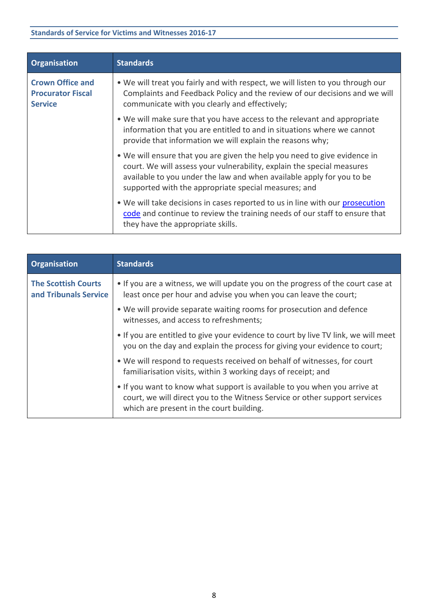| <b>Organisation</b>                                                   | <b>Standards</b>                                                                                                                                                                                                                                                                     |
|-----------------------------------------------------------------------|--------------------------------------------------------------------------------------------------------------------------------------------------------------------------------------------------------------------------------------------------------------------------------------|
| <b>Crown Office and</b><br><b>Procurator Fiscal</b><br><b>Service</b> | . We will treat you fairly and with respect, we will listen to you through our<br>Complaints and Feedback Policy and the review of our decisions and we will<br>communicate with you clearly and effectively;                                                                        |
|                                                                       | • We will make sure that you have access to the relevant and appropriate<br>information that you are entitled to and in situations where we cannot<br>provide that information we will explain the reasons why;                                                                      |
|                                                                       | • We will ensure that you are given the help you need to give evidence in<br>court. We will assess your vulnerability, explain the special measures<br>available to you under the law and when available apply for you to be<br>supported with the appropriate special measures; and |
|                                                                       | . We will take decisions in cases reported to us in line with our prosecution<br>code and continue to review the training needs of our staff to ensure that<br>they have the appropriate skills.                                                                                     |

| <b>Organisation</b>                                 | <b>Standards</b>                                                                                                                                                                                    |
|-----------------------------------------------------|-----------------------------------------------------------------------------------------------------------------------------------------------------------------------------------------------------|
| <b>The Scottish Courts</b><br>and Tribunals Service | • If you are a witness, we will update you on the progress of the court case at<br>least once per hour and advise you when you can leave the court;                                                 |
|                                                     | • We will provide separate waiting rooms for prosecution and defence<br>witnesses, and access to refreshments;                                                                                      |
|                                                     | • If you are entitled to give your evidence to court by live TV link, we will meet<br>you on the day and explain the process for giving your evidence to court;                                     |
|                                                     | • We will respond to requests received on behalf of witnesses, for court<br>familiarisation visits, within 3 working days of receipt; and                                                           |
|                                                     | . If you want to know what support is available to you when you arrive at<br>court, we will direct you to the Witness Service or other support services<br>which are present in the court building. |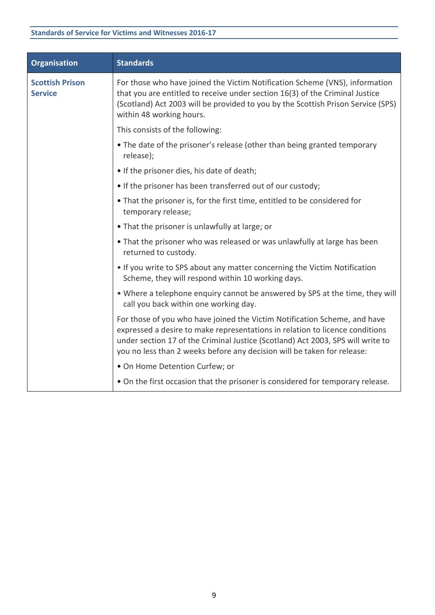| <b>Organisation</b>                      | <b>Standards</b>                                                                                                                                                                                                                                                                                                        |
|------------------------------------------|-------------------------------------------------------------------------------------------------------------------------------------------------------------------------------------------------------------------------------------------------------------------------------------------------------------------------|
| <b>Scottish Prison</b><br><b>Service</b> | For those who have joined the Victim Notification Scheme (VNS), information<br>that you are entitled to receive under section 16(3) of the Criminal Justice<br>(Scotland) Act 2003 will be provided to you by the Scottish Prison Service (SPS)<br>within 48 working hours.                                             |
|                                          | This consists of the following:                                                                                                                                                                                                                                                                                         |
|                                          | • The date of the prisoner's release (other than being granted temporary<br>release);                                                                                                                                                                                                                                   |
|                                          | • If the prisoner dies, his date of death;                                                                                                                                                                                                                                                                              |
|                                          | • If the prisoner has been transferred out of our custody;                                                                                                                                                                                                                                                              |
|                                          | • That the prisoner is, for the first time, entitled to be considered for<br>temporary release;                                                                                                                                                                                                                         |
|                                          | • That the prisoner is unlawfully at large; or                                                                                                                                                                                                                                                                          |
|                                          | • That the prisoner who was released or was unlawfully at large has been<br>returned to custody.                                                                                                                                                                                                                        |
|                                          | . If you write to SPS about any matter concerning the Victim Notification<br>Scheme, they will respond within 10 working days.                                                                                                                                                                                          |
|                                          | . Where a telephone enquiry cannot be answered by SPS at the time, they will<br>call you back within one working day.                                                                                                                                                                                                   |
|                                          | For those of you who have joined the Victim Notification Scheme, and have<br>expressed a desire to make representations in relation to licence conditions<br>under section 17 of the Criminal Justice (Scotland) Act 2003, SPS will write to<br>you no less than 2 weeks before any decision will be taken for release: |
|                                          | . On Home Detention Curfew; or                                                                                                                                                                                                                                                                                          |
|                                          | • On the first occasion that the prisoner is considered for temporary release.                                                                                                                                                                                                                                          |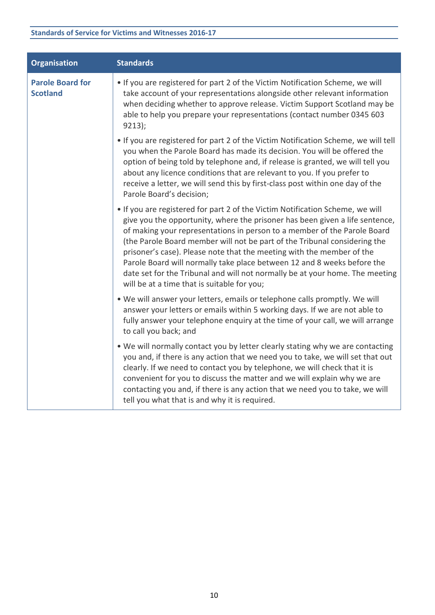| <b>Organisation</b>                        | <b>Standards</b>                                                                                                                                                                                                                                                                                                                                                                                                                                                                                                                                                                                          |
|--------------------------------------------|-----------------------------------------------------------------------------------------------------------------------------------------------------------------------------------------------------------------------------------------------------------------------------------------------------------------------------------------------------------------------------------------------------------------------------------------------------------------------------------------------------------------------------------------------------------------------------------------------------------|
| <b>Parole Board for</b><br><b>Scotland</b> | . If you are registered for part 2 of the Victim Notification Scheme, we will<br>take account of your representations alongside other relevant information<br>when deciding whether to approve release. Victim Support Scotland may be<br>able to help you prepare your representations (contact number 0345 603<br>9213);                                                                                                                                                                                                                                                                                |
|                                            | . If you are registered for part 2 of the Victim Notification Scheme, we will tell<br>you when the Parole Board has made its decision. You will be offered the<br>option of being told by telephone and, if release is granted, we will tell you<br>about any licence conditions that are relevant to you. If you prefer to<br>receive a letter, we will send this by first-class post within one day of the<br>Parole Board's decision;                                                                                                                                                                  |
|                                            | • If you are registered for part 2 of the Victim Notification Scheme, we will<br>give you the opportunity, where the prisoner has been given a life sentence,<br>of making your representations in person to a member of the Parole Board<br>(the Parole Board member will not be part of the Tribunal considering the<br>prisoner's case). Please note that the meeting with the member of the<br>Parole Board will normally take place between 12 and 8 weeks before the<br>date set for the Tribunal and will not normally be at your home. The meeting<br>will be at a time that is suitable for you; |
|                                            | . We will answer your letters, emails or telephone calls promptly. We will<br>answer your letters or emails within 5 working days. If we are not able to<br>fully answer your telephone enquiry at the time of your call, we will arrange<br>to call you back; and                                                                                                                                                                                                                                                                                                                                        |
|                                            | . We will normally contact you by letter clearly stating why we are contacting<br>you and, if there is any action that we need you to take, we will set that out<br>clearly. If we need to contact you by telephone, we will check that it is<br>convenient for you to discuss the matter and we will explain why we are<br>contacting you and, if there is any action that we need you to take, we will<br>tell you what that is and why it is required.                                                                                                                                                 |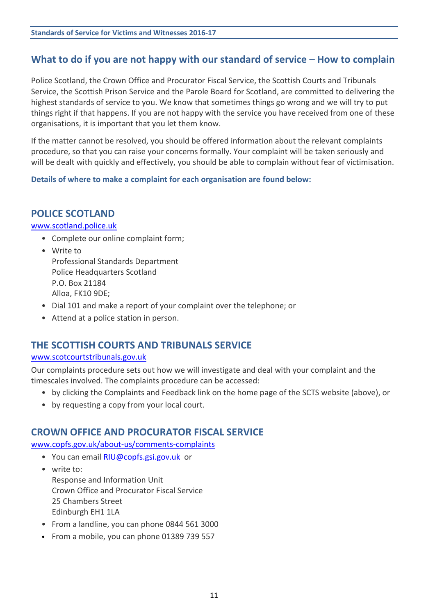# **What to do if you are not happy with our standard of service – How to complain**

Police Scotland, the Crown Office and Procurator Fiscal Service, the Scottish Courts and Tribunals Service, the Scottish Prison Service and the Parole Board for Scotland, are committed to delivering the highest standards of service to you. We know that sometimes things go wrong and we will try to put things right if that happens. If you are not happy with the service you have received from one of these organisations, it is important that you let them know.

If the matter cannot be resolved, you should be offered information about the relevant complaints procedure, so that you can raise your concerns formally. Your complaint will be taken seriously and will be dealt with quickly and effectively, you should be able to complain without fear of victimisation.

**Details of where to make a complaint for each organisation are found below:**

## **POLICE SCOTLAND**

#### [www.scotland.police.uk](http://www.scotland.police.uk/)

- Complete our online complaint form;
- Write to Professional Standards Department Police Headquarters Scotland P.O. Box 21184 Alloa, FK10 9DE;
- Dial 101 and make a report of your complaint over the telephone; or
- Attend at a police station in person.

## **THE SCOTTISH COURTS AND TRIBUNALS SERVICE**

#### [www.scotcourtstribunals.gov.uk](http://www.scotcourtstribunals.gov.uk/)

Our complaints procedure sets out how we will investigate and deal with your complaint and the timescales involved. The complaints procedure can be accessed:

- by clicking the Complaints and Feedback link on the home page of the SCTS website (above), or
- by requesting a copy from your local court.

## **CROWN OFFICE AND PROCURATOR FISCAL SERVICE**

[www.copfs.gov.uk/about-us/comments-complaints](http://www.copfs.gov.uk/about-us/comments-complaints)

- You can email [RIU@copfs.gsi.gov.uk](mailto:RIU@copfs.gsi.gov.uk) or
- write to: Response and Information Unit Crown Office and Procurator Fiscal Service 25 Chambers Street Edinburgh EH1 1LA
- From a landline, you can phone 0844 561 3000
- From a mobile, you can phone 01389 739 557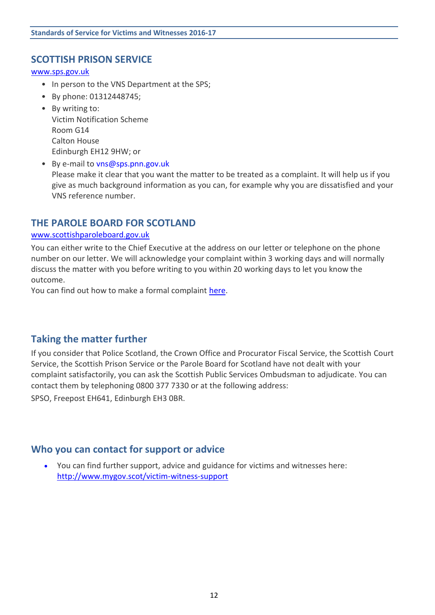## **SCOTTISH PRISON SERVICE**

[www.sps.gov.uk](http://www.sps.gov.uk/)

- In person to the VNS Department at the SPS;
- By phone: 01312448745;
- By writing to: Victim Notification Scheme Room G14 Calton House Edinburgh EH12 9HW; or
- By e-mail to [vns@sps.pnn.gov.uk](mailto:vns@sps.pnn.gov.uk) Please make it clear that you want the matter to be treated as a complaint. It will help us if you give as much background information as you can, for example why you are dissatisfied and your VNS reference number.

## **THE PAROLE BOARD FOR SCOTLAND**

#### [www.scottishparoleboard.gov.uk](http://www.scottishparoleboard.gov.uk/)

You can either write to the Chief Executive at the address on our letter or telephone on the phone number on our letter. We will acknowledge your complaint within 3 working days and will normally discuss the matter with you before writing to you within 20 working days to let you know the outcome.

You can find out how to make a formal complaint [here.](http://www.scottishparoleboard.gov.uk/page/complaints_procedure)

## **Taking the matter further**

If you consider that Police Scotland, the Crown Office and Procurator Fiscal Service, the Scottish Court Service, the Scottish Prison Service or the Parole Board for Scotland have not dealt with your complaint satisfactorily, you can ask the Scottish Public Services Ombudsman to adjudicate. You can contact them by telephoning 0800 377 7330 or at the following address:

SPSO, Freepost EH641, Edinburgh EH3 0BR.

## **Who you can contact for support or advice**

 You can find further support, advice and guidance for victims and witnesses here: <http://www.mygov.scot/victim-witness-support>